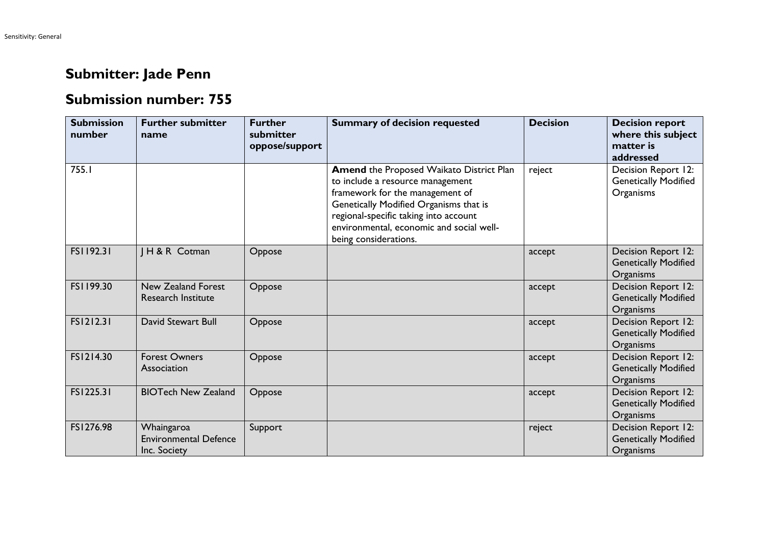## **Submitter: Jade Penn**

## **Submission number: 755**

| <b>Submission</b><br>number | <b>Further submitter</b><br>name                           | <b>Further</b><br>submitter<br>oppose/support | <b>Summary of decision requested</b>                                                                                                                                                                                                                                    | <b>Decision</b> | <b>Decision report</b><br>where this subject<br>matter is<br>addressed |
|-----------------------------|------------------------------------------------------------|-----------------------------------------------|-------------------------------------------------------------------------------------------------------------------------------------------------------------------------------------------------------------------------------------------------------------------------|-----------------|------------------------------------------------------------------------|
| 755.I                       |                                                            |                                               | Amend the Proposed Waikato District Plan<br>to include a resource management<br>framework for the management of<br>Genetically Modified Organisms that is<br>regional-specific taking into account<br>environmental, economic and social well-<br>being considerations. | reject          | Decision Report 12:<br><b>Genetically Modified</b><br>Organisms        |
| FS1192.31                   | H & R Cotman                                               | Oppose                                        |                                                                                                                                                                                                                                                                         | accept          | Decision Report 12:<br><b>Genetically Modified</b><br>Organisms        |
| FS1199.30                   | <b>New Zealand Forest</b><br><b>Research Institute</b>     | Oppose                                        |                                                                                                                                                                                                                                                                         | accept          | Decision Report 12:<br><b>Genetically Modified</b><br><b>Organisms</b> |
| FS1212.31                   | David Stewart Bull                                         | Oppose                                        |                                                                                                                                                                                                                                                                         | accept          | Decision Report 12:<br><b>Genetically Modified</b><br>Organisms        |
| FS1214.30                   | <b>Forest Owners</b><br>Association                        | Oppose                                        |                                                                                                                                                                                                                                                                         | accept          | Decision Report 12:<br><b>Genetically Modified</b><br>Organisms        |
| FS1225.31                   | <b>BIOTech New Zealand</b>                                 | Oppose                                        |                                                                                                                                                                                                                                                                         | accept          | Decision Report 12:<br><b>Genetically Modified</b><br>Organisms        |
| FS1276.98                   | Whaingaroa<br><b>Environmental Defence</b><br>Inc. Society | Support                                       |                                                                                                                                                                                                                                                                         | reject          | Decision Report 12:<br><b>Genetically Modified</b><br>Organisms        |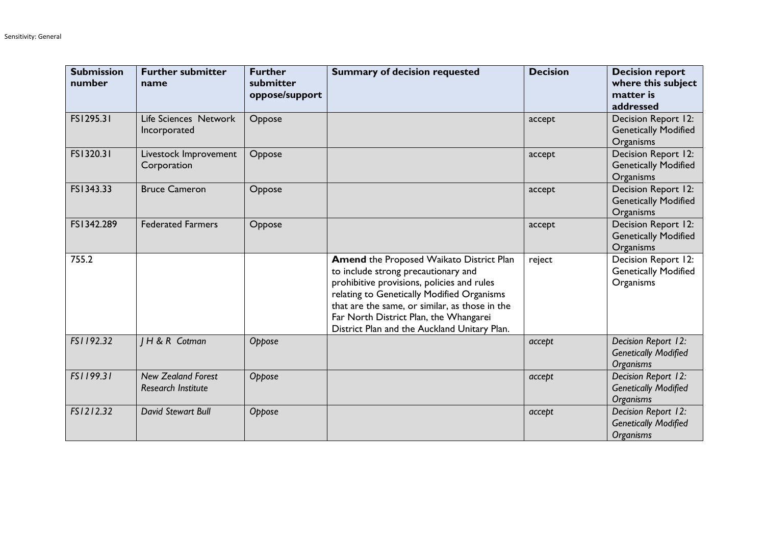| <b>Submission</b><br>number | <b>Further submitter</b><br>name                       | <b>Further</b><br>submitter<br>oppose/support | <b>Summary of decision requested</b>                                                                                                                                                                                                                                                                                    | <b>Decision</b> | <b>Decision report</b><br>where this subject<br>matter is<br>addressed |
|-----------------------------|--------------------------------------------------------|-----------------------------------------------|-------------------------------------------------------------------------------------------------------------------------------------------------------------------------------------------------------------------------------------------------------------------------------------------------------------------------|-----------------|------------------------------------------------------------------------|
| FS1295.31                   | Life Sciences Network<br>Incorporated                  | Oppose                                        |                                                                                                                                                                                                                                                                                                                         | accept          | Decision Report 12:<br><b>Genetically Modified</b><br>Organisms        |
| FS1320.31                   | Livestock Improvement<br>Corporation                   | Oppose                                        |                                                                                                                                                                                                                                                                                                                         | accept          | Decision Report 12:<br><b>Genetically Modified</b><br>Organisms        |
| FS1343.33                   | <b>Bruce Cameron</b>                                   | Oppose                                        |                                                                                                                                                                                                                                                                                                                         | accept          | Decision Report 12:<br><b>Genetically Modified</b><br>Organisms        |
| FS1342.289                  | <b>Federated Farmers</b>                               | Oppose                                        |                                                                                                                                                                                                                                                                                                                         | accept          | Decision Report 12:<br><b>Genetically Modified</b><br>Organisms        |
| 755.2                       |                                                        |                                               | Amend the Proposed Waikato District Plan<br>to include strong precautionary and<br>prohibitive provisions, policies and rules<br>relating to Genetically Modified Organisms<br>that are the same, or similar, as those in the<br>Far North District Plan, the Whangarei<br>District Plan and the Auckland Unitary Plan. | reject          | Decision Report 12:<br><b>Genetically Modified</b><br>Organisms        |
| FS1192.32                   | H & R Cotman                                           | Oppose                                        |                                                                                                                                                                                                                                                                                                                         | accept          | Decision Report 12:<br><b>Genetically Modified</b><br><b>Organisms</b> |
| FS1199.31                   | <b>New Zealand Forest</b><br><b>Research Institute</b> | Oppose                                        |                                                                                                                                                                                                                                                                                                                         | accept          | Decision Report 12:<br><b>Genetically Modified</b><br><b>Organisms</b> |
| FS1212.32                   | David Stewart Bull                                     | Oppose                                        |                                                                                                                                                                                                                                                                                                                         | accept          | Decision Report 12:<br><b>Genetically Modified</b><br><b>Organisms</b> |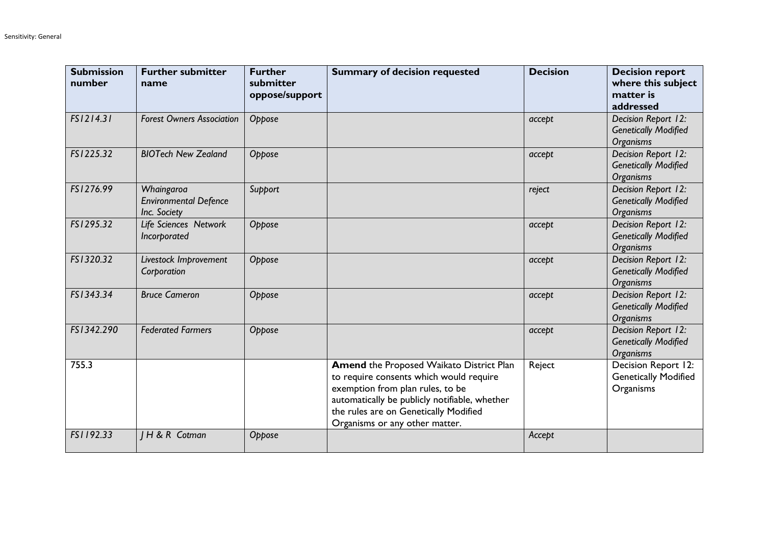| <b>Submission</b><br>number | <b>Further submitter</b><br>name                           | <b>Further</b><br>submitter<br>oppose/support | <b>Summary of decision requested</b>                                                                                                                                                                                                                | <b>Decision</b> | <b>Decision report</b><br>where this subject<br>matter is<br>addressed |
|-----------------------------|------------------------------------------------------------|-----------------------------------------------|-----------------------------------------------------------------------------------------------------------------------------------------------------------------------------------------------------------------------------------------------------|-----------------|------------------------------------------------------------------------|
| FS1214.31                   | <b>Forest Owners Association</b>                           | Oppose                                        |                                                                                                                                                                                                                                                     | accept          | Decision Report 12:<br><b>Genetically Modified</b><br><b>Organisms</b> |
| FS1225.32                   | <b>BIOTech New Zealand</b>                                 | Oppose                                        |                                                                                                                                                                                                                                                     | accept          | Decision Report 12:<br><b>Genetically Modified</b><br><b>Organisms</b> |
| FS1276.99                   | Whaingaroa<br><b>Environmental Defence</b><br>Inc. Society | Support                                       |                                                                                                                                                                                                                                                     | reject          | Decision Report 12:<br><b>Genetically Modified</b><br><b>Organisms</b> |
| FS1295.32                   | Life Sciences Network<br>Incorporated                      | Oppose                                        |                                                                                                                                                                                                                                                     | accept          | Decision Report 12:<br><b>Genetically Modified</b><br><b>Organisms</b> |
| FS1320.32                   | Livestock Improvement<br>Corporation                       | Oppose                                        |                                                                                                                                                                                                                                                     | accept          | Decision Report 12:<br><b>Genetically Modified</b><br><b>Organisms</b> |
| FS1343.34                   | <b>Bruce Cameron</b>                                       | Oppose                                        |                                                                                                                                                                                                                                                     | accept          | Decision Report 12:<br><b>Genetically Modified</b><br><b>Organisms</b> |
| FS1342.290                  | <b>Federated Farmers</b>                                   | Oppose                                        |                                                                                                                                                                                                                                                     | accept          | Decision Report 12:<br><b>Genetically Modified</b><br><b>Organisms</b> |
| 755.3                       |                                                            |                                               | Amend the Proposed Waikato District Plan<br>to require consents which would require<br>exemption from plan rules, to be<br>automatically be publicly notifiable, whether<br>the rules are on Genetically Modified<br>Organisms or any other matter. | Reject          | Decision Report 12:<br><b>Genetically Modified</b><br>Organisms        |
| FS1192.33                   | IH & R Cotman                                              | Oppose                                        |                                                                                                                                                                                                                                                     | Accept          |                                                                        |